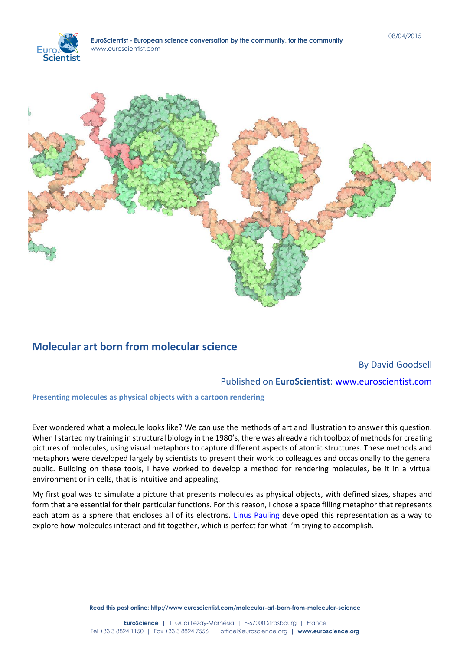



## **Molecular art born from molecular science**

## By David Goodsell

## Published on **EuroScientist**: [www.euroscientist.com](http://www.euroscientist.com/)

## **Presenting molecules as physical objects with a cartoon rendering**

Ever wondered what a molecule looks like? We can use the methods of art and illustration to answer this question. When I started my training in structural biology in the 1980's, there was already a rich toolbox of methods for creating pictures of molecules, using visual metaphors to capture different aspects of atomic structures. These methods and metaphors were developed largely by scientists to present their work to colleagues and occasionally to the general public. Building on these tools, I have worked to develop a method for rendering molecules, be it in a virtual environment or in cells, that is intuitive and appealing.

My first goal was to simulate a picture that presents molecules as physical objects, with defined sizes, shapes and form that are essential for their particular functions. For this reason, I chose a space filling metaphor that represents each atom as a sphere that encloses all of its electrons. [Linus Pauling](http://en.wikipedia.org/wiki/Linus_Pauling) developed this representation as a way to explore how molecules interact and fit together, which is perfect for what I'm trying to accomplish.

**Read this post online: http://www.euroscientist.com/molecular-art-born-from-molecular-science**